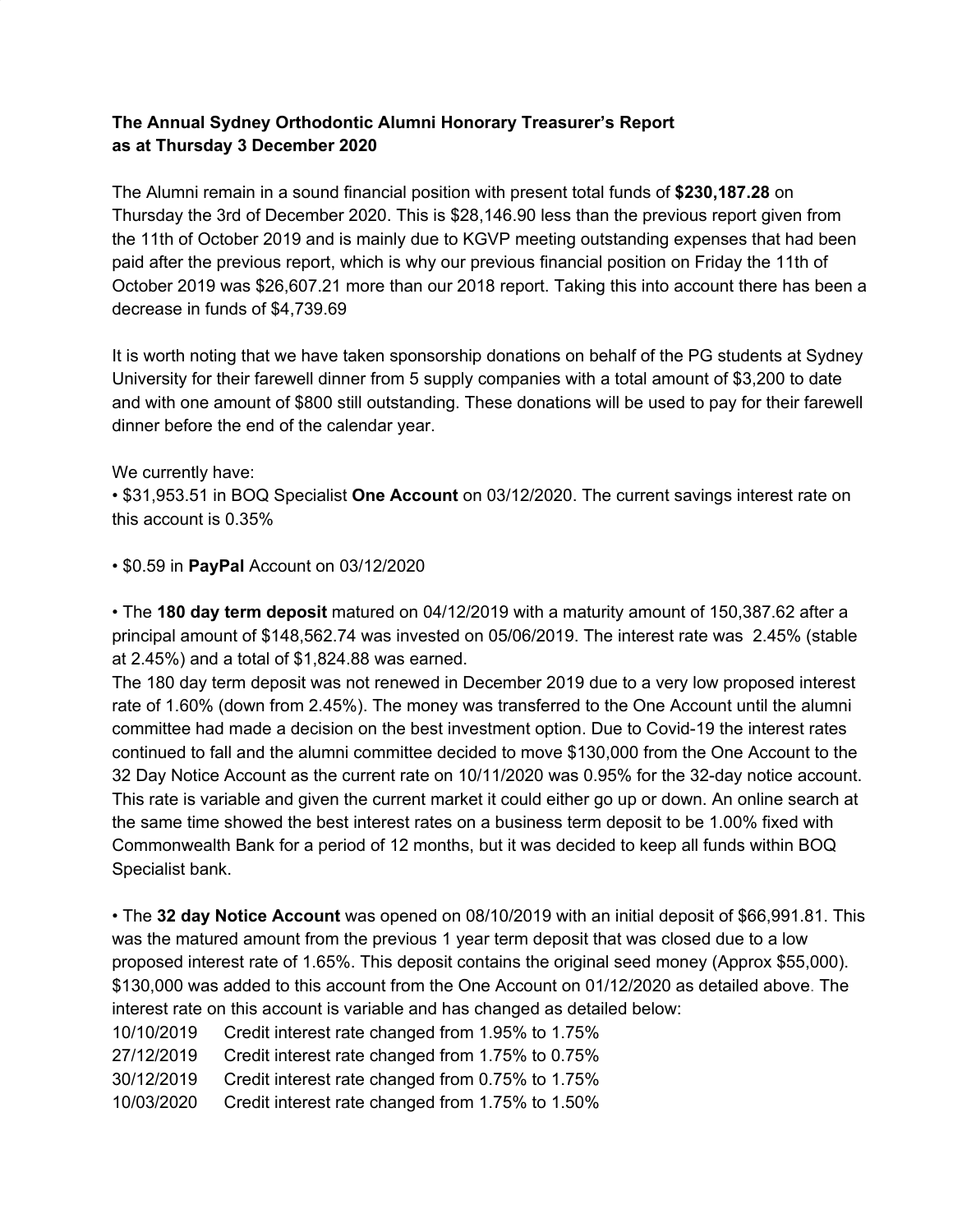## **The Annual Sydney Orthodontic Alumni Honorary Treasurer's Report as at Thursday 3 December 2020**

The Alumni remain in a sound financial position with present total funds of **\$230,187.28** on Thursday the 3rd of December 2020. This is \$28,146.90 less than the previous report given from the 11th of October 2019 and is mainly due to KGVP meeting outstanding expenses that had been paid after the previous report, which is why our previous financial position on Friday the 11th of October 2019 was \$26,607.21 more than our 2018 report. Taking this into account there has been a decrease in funds of \$4,739.69

It is worth noting that we have taken sponsorship donations on behalf of the PG students at Sydney University for their farewell dinner from 5 supply companies with a total amount of \$3,200 to date and with one amount of \$800 still outstanding. These donations will be used to pay for their farewell dinner before the end of the calendar year.

We currently have:

• \$31,953.51 in BOQ Specialist **One Account** on 03/12/2020. The current savings interest rate on this account is 0.35%

• \$0.59 in **PayPal** Account on 03/12/2020

• The **180 day term deposit** matured on 04/12/2019 with a maturity amount of 150,387.62 after a principal amount of \$148,562.74 was invested on 05/06/2019. The interest rate was 2.45% (stable at 2.45%) and a total of \$1,824.88 was earned.

The 180 day term deposit was not renewed in December 2019 due to a very low proposed interest rate of 1.60% (down from 2.45%). The money was transferred to the One Account until the alumni committee had made a decision on the best investment option. Due to Covid-19 the interest rates continued to fall and the alumni committee decided to move \$130,000 from the One Account to the 32 Day Notice Account as the current rate on 10/11/2020 was 0.95% for the 32-day notice account. This rate is variable and given the current market it could either go up or down. An online search at the same time showed the best interest rates on a business term deposit to be 1.00% fixed with Commonwealth Bank for a period of 12 months, but it was decided to keep all funds within BOQ Specialist bank.

• The **32 day Notice Account** was opened on 08/10/2019 with an initial deposit of \$66,991.81. This was the matured amount from the previous 1 year term deposit that was closed due to a low proposed interest rate of 1.65%. This deposit contains the original seed money (Approx \$55,000). \$130,000 was added to this account from the One Account on 01/12/2020 as detailed above. The interest rate on this account is variable and has changed as detailed below:

10/10/2019 Credit interest rate changed from 1.95% to 1.75%

27/12/2019 Credit interest rate changed from 1.75% to 0.75%

30/12/2019 Credit interest rate changed from 0.75% to 1.75%

10/03/2020 Credit interest rate changed from 1.75% to 1.50%